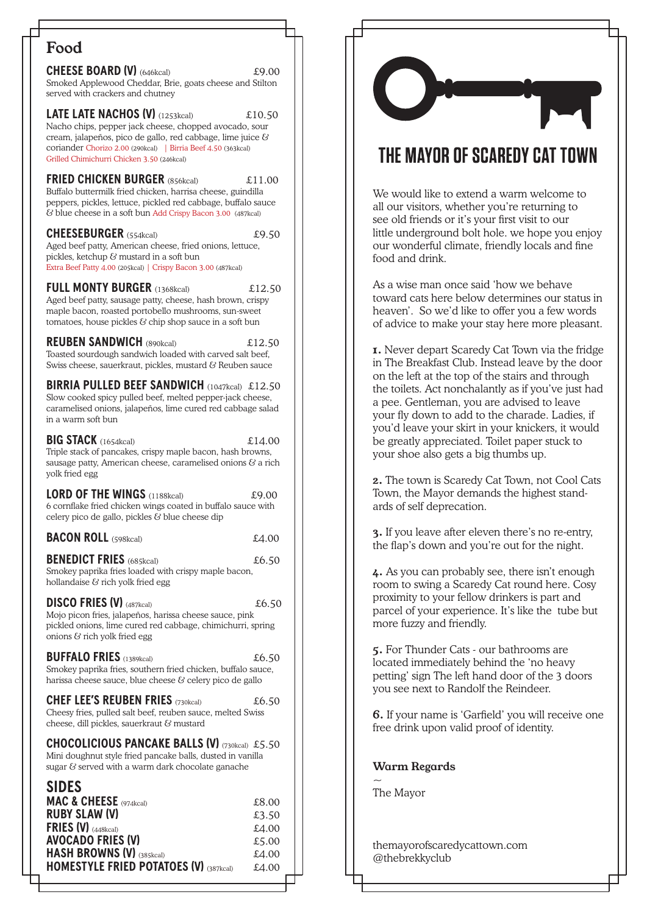## Food

**CHEESE BOARD (V)** (646kcal)  $£9.00$ Smoked Applewood Cheddar, Brie, goats cheese and Stilton served with crackers and chutney

**LATE LATE NACHOS (V)** (1253kcal)  $£10.50$ Nacho chips, pepper jack cheese, chopped avocado, sour cream, jalapeños, pico de gallo, red cabbage, lime juice & coriander Chorizo 2.00 (290kcal) | Birria Beef 4.50 (363kcal) Grilled Chimichurri Chicken 3.50 (246kcal)

**FRIED CHICKEN BURGER** (856kcal)£11.00 Buffalo buttermilk fried chicken, harrisa cheese, guindilla peppers, pickles, lettuce, pickled red cabbage, buffalo sauce & blue cheese in a soft bun Add Crispy Bacon 3.00 (487kcal)

**CHEESEBURGER** (554kcal)£9.50 Aged beef patty, American cheese, fried onions, lettuce, pickles, ketchup & mustard in a soft bun Extra Beef Patty 4.00 (205kcal) | Crispy Bacon 3.00 (487kcal)

**FULL MONTY BURGER** (1368kcal)£12.50 Aged beef patty, sausage patty, cheese, hash brown, crispy maple bacon, roasted portobello mushrooms, sun-sweet tomatoes, house pickles  $\mathcal G$  chip shop sauce in a soft bun

**REUBEN SANDWICH** (890kcal)£12.50 Toasted sourdough sandwich loaded with carved salt beef, Swiss cheese, sauerkraut, pickles, mustard & Reuben sauce

**BIRRIA PULLED BEEF SANDWICH** (1047kcal) £12.50Slow cooked spicy pulled beef, melted pepper-jack cheese, caramelised onions, jalapeños, lime cured red cabbage salad in a warm soft bun

**BIG STACK** (1654kcal) £14.00Triple stack of pancakes, crispy maple bacon, hash browns, sausage patty, American cheese, caramelised onions  $\mathcal G$  a rich yolk fried egg

| <b>LORD OF THE WINGS (1188kcal)</b>                                                                                | £9.00 |
|--------------------------------------------------------------------------------------------------------------------|-------|
| 6 cornflake fried chicken wings coated in buffalo sauce with<br>celery pico de gallo, pickles $\&$ blue cheese dip |       |
| <b>BACON ROLL (598kcal)</b>                                                                                        | £4.00 |

**BENEDICT FRIES** (685kcal)  $£6.50$ Smokey paprika fries loaded with crispy maple bacon, hollandaise & rich yolk fried egg

**DISCO FRIES (V)** (487kcal)  $£6.50$ Mojo picon fries, jalapeños, harissa cheese sauce, pink pickled onions, lime cured red cabbage, chimichurri, spring onions  $\Im$  rich yolk fried egg

**BUFFALO FRIES** (1389kcal)  $£6.50$ Smokey paprika fries, southern fried chicken, buffalo sauce, harissa cheese sauce, blue cheese & celery pico de gallo

**CHEF LEE'S REUBEN FRIES** (730kcal)  $£6,50$ Cheesy fries, pulled salt beef, reuben sauce, melted Swiss cheese, dill pickles, sauerkraut & mustard

**CHOCOLICIOUS PANCAKE BALLS (V)** (730kcal) £5.50Mini doughnut style fried pancake balls, dusted in vanilla sugar  $\&$  served with a warm dark chocolate ganache

## **SIDES**

| <b>MAC &amp; CHEESE</b> (974kcal)             | £8.00 |
|-----------------------------------------------|-------|
| <b>RUBY SLAW (V)</b>                          | £3.50 |
| FRIES $(V)$ (448kcal)                         | £4.00 |
| <b>AVOCADO FRIES (V)</b>                      | £5.00 |
| <b>HASH BROWNS (V) (385kcal)</b>              | £4.00 |
| <b>HOMESTYLE FRIED POTATOES (V) (387kcal)</b> | £4.00 |
|                                               |       |

# THE MAYOR OF SCAREDY CAT TOWN

We would like to extend a warm welcome to all our visitors, whether you're returning to see old friends or it's your first visit to our little underground bolt hole. we hope you enjoy our wonderful climate, friendly locals and fine food and drink.

As a wise man once said 'how we behave toward cats here below determines our status in heaven'. So we'd like to offer you a few words of advice to make your stay here more pleasant.

1. Never depart Scaredy Cat Town via the fridge in The Breakfast Club. Instead leave by the door on the left at the top of the stairs and through the toilets. Act nonchalantly as if you've just had a pee. Gentleman, you are advised to leave your fly down to add to the charade. Ladies, if you'd leave your skirt in your knickers, it would be greatly appreciated. Toilet paper stuck to your shoe also gets a big thumbs up.

2. The town is Scaredy Cat Town, not Cool Cats Town, the Mayor demands the highest standards of self deprecation.

3. If you leave after eleven there's no re-entry, the flap's down and you're out for the night.

4. As you can probably see, there isn't enough room to swing a Scaredy Cat round here. Cosy proximity to your fellow drinkers is part and parcel of your experience. It's like the tube but more fuzzy and friendly.

5. For Thunder Cats - our bathrooms are located immediately behind the 'no heavy petting' sign The left hand door of the 3 doors you see next to Randolf the Reindeer.

6. If your name is 'Garfield' you will receive one free drink upon valid proof of identity.

## Warm Regards

 $\sim$ The Mayor

themayorofscaredycattown.com @thebrekkyclub